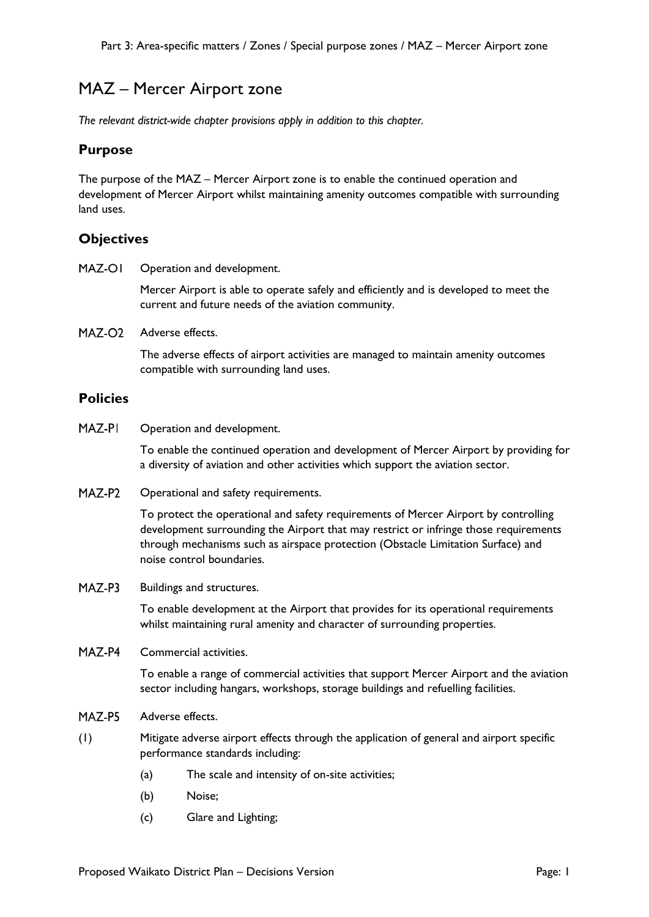# MAZ – Mercer Airport zone

*The relevant district-wide chapter provisions apply in addition to this chapter.* 

### **Purpose**

The purpose of the MAZ – Mercer Airport zone is to enable the continued operation and development of Mercer Airport whilst maintaining amenity outcomes compatible with surrounding land uses.

## **Objectives**

MAZ-OI Operation and development.

> Mercer Airport is able to operate safely and efficiently and is developed to meet the current and future needs of the aviation community.

MAZ-O<sub>2</sub> Adverse effects.

> The adverse effects of airport activities are managed to maintain amenity outcomes compatible with surrounding land uses.

#### **Policies**

MAZ-PI Operation and development.

> To enable the continued operation and development of Mercer Airport by providing for a diversity of aviation and other activities which support the aviation sector.

MAZ-P2 Operational and safety requirements.

> To protect the operational and safety requirements of Mercer Airport by controlling development surrounding the Airport that may restrict or infringe those requirements through mechanisms such as airspace protection (Obstacle Limitation Surface) and noise control boundaries.

MAZ-P3 Buildings and structures.

> To enable development at the Airport that provides for its operational requirements whilst maintaining rural amenity and character of surrounding properties.

 $MAZ$ -P4 Commercial activities.

> To enable a range of commercial activities that support Mercer Airport and the aviation sector including hangars, workshops, storage buildings and refuelling facilities.

- MAZ-P5 Adverse effects.
- (1) Mitigate adverse airport effects through the application of general and airport specific performance standards including:
	- (a) The scale and intensity of on-site activities;
	- (b) Noise;
	- (c) Glare and Lighting;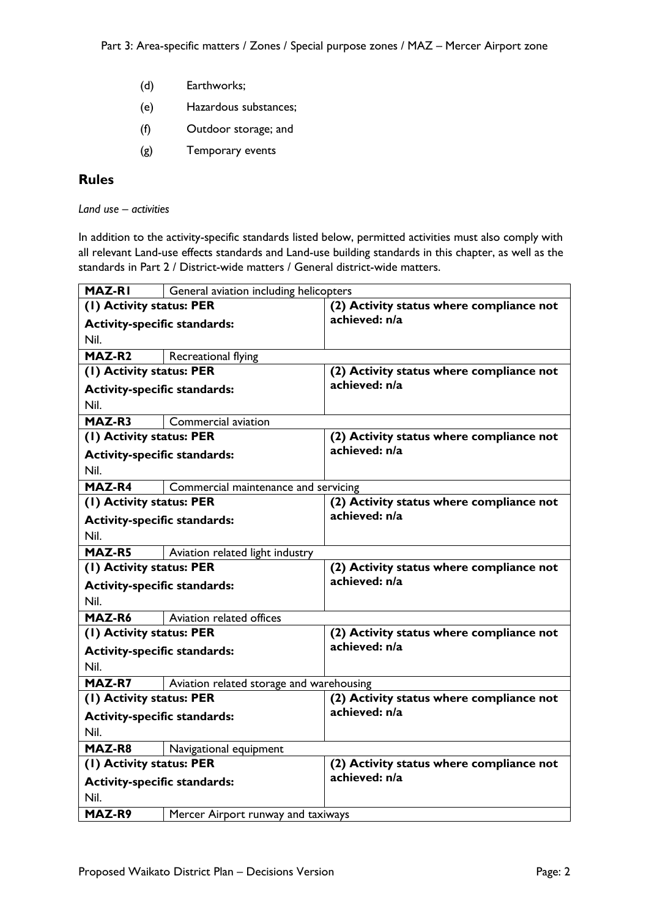- (d) Earthworks;
- (e) Hazardous substances;
- (f) Outdoor storage; and
- (g) Temporary events

# **Rules**

*Land use – activities*

In addition to the activity-specific standards listed below, permitted activities must also comply with all relevant Land-use effects standards and Land-use building standards in this chapter, as well as the standards in Part 2 / District-wide matters / General district-wide matters.

| <b>MAZ-RI</b>                       | General aviation including helicopters   |                                          |
|-------------------------------------|------------------------------------------|------------------------------------------|
| (1) Activity status: PER            |                                          | (2) Activity status where compliance not |
| <b>Activity-specific standards:</b> |                                          | achieved: n/a                            |
| Nil.                                |                                          |                                          |
| MAZ-R <sub>2</sub>                  | Recreational flying                      |                                          |
| (I) Activity status: PER            |                                          | (2) Activity status where compliance not |
| <b>Activity-specific standards:</b> |                                          | achieved: n/a                            |
| Nil.                                |                                          |                                          |
| MAZ-R3                              | Commercial aviation                      |                                          |
| (I) Activity status: PER            |                                          | (2) Activity status where compliance not |
| <b>Activity-specific standards:</b> |                                          | achieved: n/a                            |
| Nil.                                |                                          |                                          |
| MAZ-R4                              | Commercial maintenance and servicing     |                                          |
| (1) Activity status: PER            |                                          | (2) Activity status where compliance not |
| <b>Activity-specific standards:</b> |                                          | achieved: n/a                            |
| Nil.                                |                                          |                                          |
| MAZ-R5                              | Aviation related light industry          |                                          |
| (1) Activity status: PER            |                                          | (2) Activity status where compliance not |
| <b>Activity-specific standards:</b> |                                          | achieved: n/a                            |
| Nil.                                |                                          |                                          |
| MAZ-R6                              | Aviation related offices                 |                                          |
| (1) Activity status: PER            |                                          | (2) Activity status where compliance not |
| <b>Activity-specific standards:</b> |                                          | achieved: n/a                            |
| Nil.                                |                                          |                                          |
| MAZ-R7                              | Aviation related storage and warehousing |                                          |
| (I) Activity status: PER            |                                          | (2) Activity status where compliance not |
| <b>Activity-specific standards:</b> |                                          | achieved: n/a                            |
| Nil.                                |                                          |                                          |
| MAZ-R8                              | Navigational equipment                   |                                          |
| (1) Activity status: PER            |                                          | (2) Activity status where compliance not |
| <b>Activity-specific standards:</b> |                                          | achieved: n/a                            |
| Nil.                                |                                          |                                          |
| MAZ-R9                              | Mercer Airport runway and taxiways       |                                          |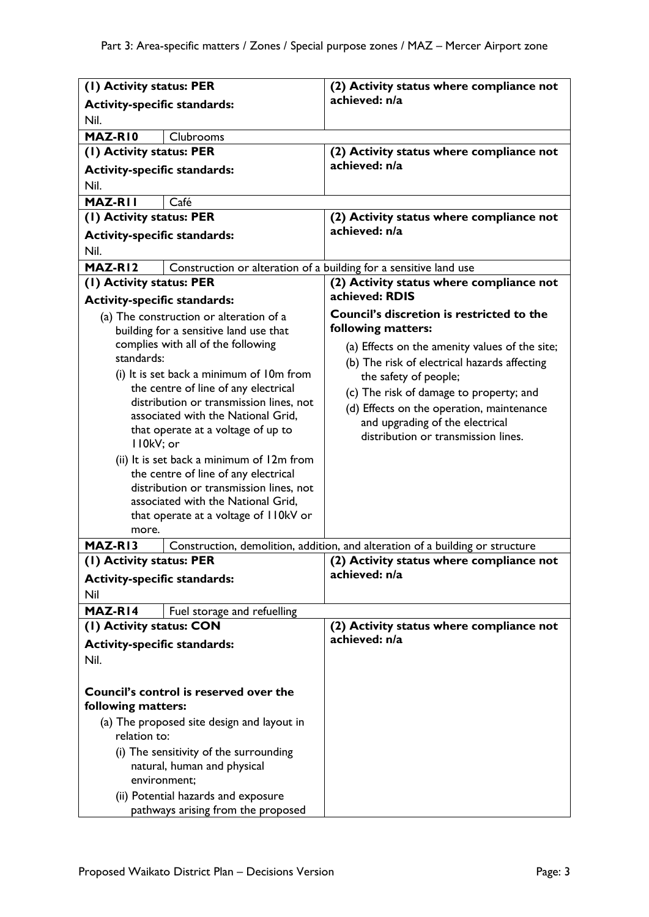| (1) Activity status: PER                                                              |                                                                                 | (2) Activity status where compliance not                                      |
|---------------------------------------------------------------------------------------|---------------------------------------------------------------------------------|-------------------------------------------------------------------------------|
| <b>Activity-specific standards:</b>                                                   |                                                                                 | achieved: n/a                                                                 |
| Nil.                                                                                  |                                                                                 |                                                                               |
| MAZ-RIO                                                                               | Clubrooms                                                                       |                                                                               |
| (1) Activity status: PER                                                              |                                                                                 | (2) Activity status where compliance not                                      |
| <b>Activity-specific standards:</b>                                                   |                                                                                 | achieved: n/a                                                                 |
| Nil.                                                                                  |                                                                                 |                                                                               |
| MAZ-RII                                                                               | Café                                                                            |                                                                               |
| (1) Activity status: PER                                                              |                                                                                 | (2) Activity status where compliance not                                      |
| <b>Activity-specific standards:</b>                                                   |                                                                                 | achieved: n/a                                                                 |
| Nil.                                                                                  |                                                                                 |                                                                               |
| MAZ-RI2                                                                               | Construction or alteration of a building for a sensitive land use               |                                                                               |
| (1) Activity status: PER                                                              |                                                                                 | (2) Activity status where compliance not                                      |
| <b>Activity-specific standards:</b>                                                   |                                                                                 | achieved: RDIS                                                                |
|                                                                                       | (a) The construction or alteration of a                                         | <b>Council's discretion is restricted to the</b>                              |
|                                                                                       | building for a sensitive land use that                                          | following matters:                                                            |
|                                                                                       | complies with all of the following                                              | (a) Effects on the amenity values of the site;                                |
| standards:                                                                            |                                                                                 | (b) The risk of electrical hazards affecting                                  |
|                                                                                       | (i) It is set back a minimum of 10m from                                        | the safety of people;                                                         |
| the centre of line of any electrical                                                  |                                                                                 | (c) The risk of damage to property; and                                       |
|                                                                                       | distribution or transmission lines, not                                         | (d) Effects on the operation, maintenance                                     |
|                                                                                       | associated with the National Grid,                                              | and upgrading of the electrical                                               |
|                                                                                       | that operate at a voltage of up to                                              | distribution or transmission lines.                                           |
| II0kV; or                                                                             |                                                                                 |                                                                               |
|                                                                                       | (ii) It is set back a minimum of 12m from                                       |                                                                               |
|                                                                                       | the centre of line of any electrical<br>distribution or transmission lines, not |                                                                               |
|                                                                                       | associated with the National Grid,                                              |                                                                               |
|                                                                                       | that operate at a voltage of I IOkV or                                          |                                                                               |
| more.                                                                                 |                                                                                 |                                                                               |
| MAZ-RI3                                                                               |                                                                                 | Construction, demolition, addition, and alteration of a building or structure |
| (I) Activity status: PER                                                              |                                                                                 | (2) Activity status where compliance not                                      |
| <b>Activity-specific standards:</b>                                                   |                                                                                 | achieved: n/a                                                                 |
| Nil                                                                                   |                                                                                 |                                                                               |
| MAZ-RI4                                                                               | Fuel storage and refuelling                                                     |                                                                               |
| (I) Activity status: CON                                                              |                                                                                 | (2) Activity status where compliance not                                      |
| <b>Activity-specific standards:</b>                                                   |                                                                                 | achieved: n/a                                                                 |
| Nil.                                                                                  |                                                                                 |                                                                               |
|                                                                                       |                                                                                 |                                                                               |
| Council's control is reserved over the<br>following matters:                          |                                                                                 |                                                                               |
| (a) The proposed site design and layout in<br>relation to:                            |                                                                                 |                                                                               |
| (i) The sensitivity of the surrounding<br>natural, human and physical<br>environment; |                                                                                 |                                                                               |
| (ii) Potential hazards and exposure<br>pathways arising from the proposed             |                                                                                 |                                                                               |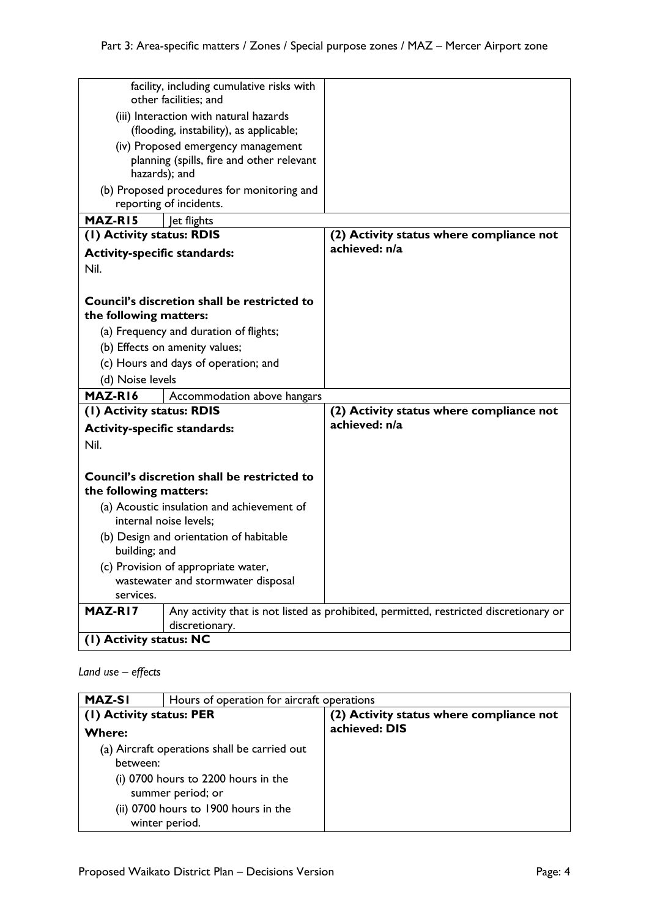| facility, including cumulative risks with<br>other facilities; and   |                                                    |                                                                                       |
|----------------------------------------------------------------------|----------------------------------------------------|---------------------------------------------------------------------------------------|
| (iii) Interaction with natural hazards                               |                                                    |                                                                                       |
| (flooding, instability), as applicable;                              |                                                    |                                                                                       |
| (iv) Proposed emergency management                                   |                                                    |                                                                                       |
| planning (spills, fire and other relevant<br>hazards); and           |                                                    |                                                                                       |
|                                                                      | (b) Proposed procedures for monitoring and         |                                                                                       |
|                                                                      | reporting of incidents.                            |                                                                                       |
| MAZ-RI5                                                              | Jet flights                                        |                                                                                       |
| (I) Activity status: RDIS                                            |                                                    | (2) Activity status where compliance not                                              |
| <b>Activity-specific standards:</b>                                  |                                                    | achieved: n/a                                                                         |
| Nil.                                                                 |                                                    |                                                                                       |
|                                                                      |                                                    |                                                                                       |
|                                                                      | Council's discretion shall be restricted to        |                                                                                       |
| the following matters:                                               |                                                    |                                                                                       |
|                                                                      | (a) Frequency and duration of flights;             |                                                                                       |
|                                                                      | (b) Effects on amenity values;                     |                                                                                       |
|                                                                      | (c) Hours and days of operation; and               |                                                                                       |
| (d) Noise levels                                                     |                                                    |                                                                                       |
| MAZ-R16                                                              | Accommodation above hangars                        |                                                                                       |
| (1) Activity status: RDIS                                            |                                                    | (2) Activity status where compliance not<br>achieved: n/a                             |
| <b>Activity-specific standards:</b>                                  |                                                    |                                                                                       |
| Nil.                                                                 |                                                    |                                                                                       |
|                                                                      |                                                    |                                                                                       |
| the following matters:                                               | <b>Council's discretion shall be restricted to</b> |                                                                                       |
| (a) Acoustic insulation and achievement of<br>internal noise levels; |                                                    |                                                                                       |
| (b) Design and orientation of habitable<br>building; and             |                                                    |                                                                                       |
| (c) Provision of appropriate water,                                  |                                                    |                                                                                       |
| wastewater and stormwater disposal<br>services.                      |                                                    |                                                                                       |
| MAZ-RI7                                                              |                                                    | Any activity that is not listed as prohibited, permitted, restricted discretionary or |
|                                                                      | discretionary.                                     |                                                                                       |
| (1) Activity status: NC                                              |                                                    |                                                                                       |

## *Land use – effects*

| <b>MAZ-SI</b>                                          | Hours of operation for aircraft operations |                                          |
|--------------------------------------------------------|--------------------------------------------|------------------------------------------|
| (1) Activity status: PER                               |                                            | (2) Activity status where compliance not |
| <b>Where:</b>                                          |                                            | achieved: DIS                            |
| (a) Aircraft operations shall be carried out           |                                            |                                          |
| between:                                               |                                            |                                          |
| (i) 0700 hours to 2200 hours in the                    |                                            |                                          |
| summer period; or                                      |                                            |                                          |
| (ii) 0700 hours to 1900 hours in the<br>winter period. |                                            |                                          |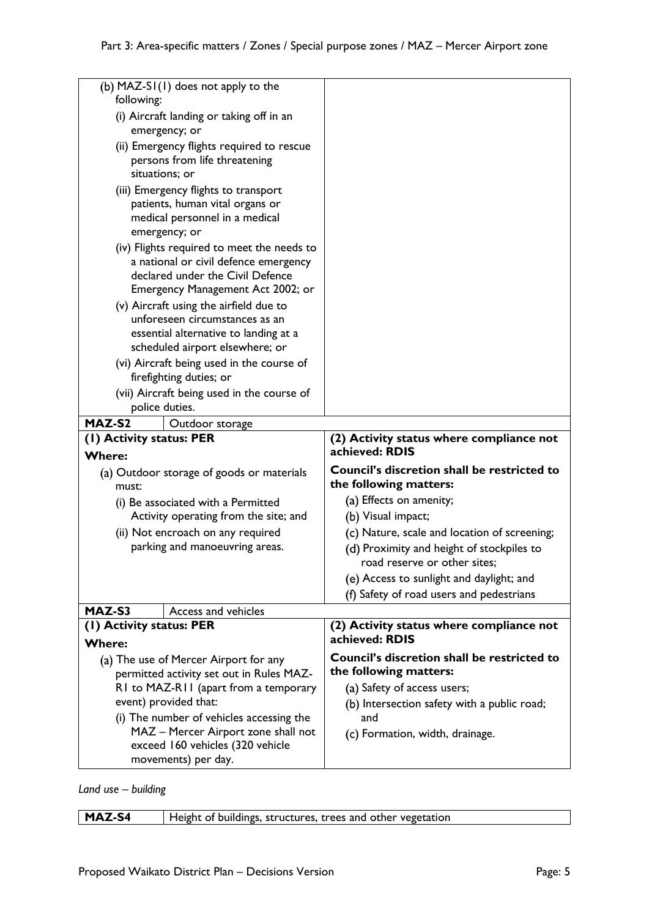| (b) MAZ-SI(I) does not apply to the<br>following:                                                                                                            |                                                                           |
|--------------------------------------------------------------------------------------------------------------------------------------------------------------|---------------------------------------------------------------------------|
| (i) Aircraft landing or taking off in an<br>emergency; or                                                                                                    |                                                                           |
| (ii) Emergency flights required to rescue<br>persons from life threatening<br>situations; or                                                                 |                                                                           |
| (iii) Emergency flights to transport<br>patients, human vital organs or<br>medical personnel in a medical<br>emergency; or                                   |                                                                           |
| (iv) Flights required to meet the needs to<br>a national or civil defence emergency<br>declared under the Civil Defence<br>Emergency Management Act 2002; or |                                                                           |
| (v) Aircraft using the airfield due to<br>unforeseen circumstances as an<br>essential alternative to landing at a<br>scheduled airport elsewhere; or         |                                                                           |
| (vi) Aircraft being used in the course of<br>firefighting duties; or                                                                                         |                                                                           |
| (vii) Aircraft being used in the course of<br>police duties.                                                                                                 |                                                                           |
| MAZ-S2<br>Outdoor storage                                                                                                                                    |                                                                           |
| (I) Activity status: PER                                                                                                                                     | (2) Activity status where compliance not<br>achieved: RDIS                |
| <b>Where:</b>                                                                                                                                                |                                                                           |
| (a) Outdoor storage of goods or materials<br>must:                                                                                                           | Council's discretion shall be restricted to<br>the following matters:     |
| (i) Be associated with a Permitted                                                                                                                           | (a) Effects on amenity;                                                   |
| Activity operating from the site; and                                                                                                                        | (b) Visual impact;                                                        |
| (ii) Not encroach on any required                                                                                                                            | (c) Nature, scale and location of screening;                              |
| parking and manoeuvring areas.                                                                                                                               | (d) Proximity and height of stockpiles to<br>road reserve or other sites; |
|                                                                                                                                                              | (e) Access to sunlight and daylight; and                                  |
|                                                                                                                                                              | (f) Safety of road users and pedestrians                                  |
| MAZ-S3<br>Access and vehicles                                                                                                                                |                                                                           |
| (1) Activity status: PER                                                                                                                                     | (2) Activity status where compliance not                                  |
| <b>Where:</b>                                                                                                                                                | achieved: RDIS                                                            |
| (a) The use of Mercer Airport for any<br>permitted activity set out in Rules MAZ-                                                                            | Council's discretion shall be restricted to<br>the following matters:     |
| R1 to MAZ-R11 (apart from a temporary                                                                                                                        | (a) Safety of access users;                                               |
| event) provided that:                                                                                                                                        | (b) Intersection safety with a public road;                               |
| (i) The number of vehicles accessing the                                                                                                                     | and                                                                       |
| MAZ - Mercer Airport zone shall not                                                                                                                          | (c) Formation, width, drainage.                                           |
| exceed 160 vehicles (320 vehicle                                                                                                                             |                                                                           |
| movements) per day.                                                                                                                                          |                                                                           |

*Land use – building*

| MAZ-S4 | Height of buildings, structures, trees and other vegetation |
|--------|-------------------------------------------------------------|
|        |                                                             |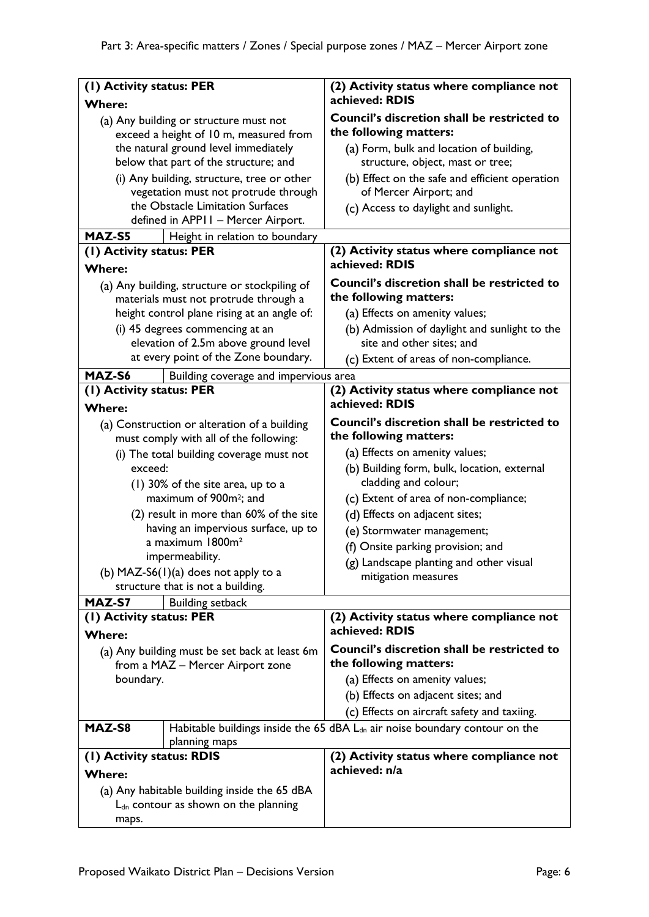| (1) Activity status: PER                                                               |                                                                          | (2) Activity status where compliance not                                                |
|----------------------------------------------------------------------------------------|--------------------------------------------------------------------------|-----------------------------------------------------------------------------------------|
| <b>Where:</b>                                                                          |                                                                          | achieved: RDIS                                                                          |
| (a) Any building or structure must not<br>exceed a height of 10 m, measured from       |                                                                          | Council's discretion shall be restricted to<br>the following matters:                   |
|                                                                                        | the natural ground level immediately                                     | (a) Form, bulk and location of building,                                                |
|                                                                                        | below that part of the structure; and                                    | structure, object, mast or tree;                                                        |
|                                                                                        | (i) Any building, structure, tree or other                               | (b) Effect on the safe and efficient operation                                          |
|                                                                                        | vegetation must not protrude through<br>the Obstacle Limitation Surfaces | of Mercer Airport; and                                                                  |
|                                                                                        | defined in APPII - Mercer Airport.                                       | (c) Access to daylight and sunlight.                                                    |
| MAZ-S5                                                                                 | Height in relation to boundary                                           |                                                                                         |
| (1) Activity status: PER                                                               |                                                                          | (2) Activity status where compliance not                                                |
| <b>Where:</b>                                                                          |                                                                          | achieved: RDIS                                                                          |
| (a) Any building, structure or stockpiling of<br>materials must not protrude through a |                                                                          | Council's discretion shall be restricted to<br>the following matters:                   |
|                                                                                        | height control plane rising at an angle of:                              | (a) Effects on amenity values;                                                          |
|                                                                                        | (i) 45 degrees commencing at an<br>elevation of 2.5m above ground level  | (b) Admission of daylight and sunlight to the<br>site and other sites; and              |
|                                                                                        | at every point of the Zone boundary.                                     | (c) Extent of areas of non-compliance.                                                  |
| MAZ-S6                                                                                 | Building coverage and impervious area                                    |                                                                                         |
| (I) Activity status: PER<br><b>Where:</b>                                              |                                                                          | (2) Activity status where compliance not<br>achieved: RDIS                              |
| (a) Construction or alteration of a building<br>must comply with all of the following: |                                                                          | Council's discretion shall be restricted to<br>the following matters:                   |
|                                                                                        | (i) The total building coverage must not                                 | (a) Effects on amenity values;                                                          |
| exceed:                                                                                |                                                                          | (b) Building form, bulk, location, external                                             |
| (1) 30% of the site area, up to a                                                      |                                                                          | cladding and colour;                                                                    |
|                                                                                        | maximum of 900m <sup>2</sup> ; and                                       | (c) Extent of area of non-compliance;                                                   |
|                                                                                        | (2) result in more than 60% of the site                                  | (d) Effects on adjacent sites;                                                          |
|                                                                                        | having an impervious surface, up to<br>a maximum 1800m <sup>2</sup>      | (e) Stormwater management;                                                              |
|                                                                                        | impermeability.                                                          | (f) Onsite parking provision; and                                                       |
|                                                                                        | (b) $MAZ-S6(1)(a)$ does not apply to a                                   | (g) Landscape planting and other visual                                                 |
|                                                                                        | structure that is not a building.                                        | mitigation measures                                                                     |
| MAZ-S7                                                                                 | <b>Building setback</b>                                                  |                                                                                         |
| (I) Activity status: PER<br><b>Where:</b>                                              |                                                                          | (2) Activity status where compliance not<br>achieved: RDIS                              |
|                                                                                        |                                                                          | Council's discretion shall be restricted to                                             |
| (a) Any building must be set back at least 6m<br>from a MAZ - Mercer Airport zone      |                                                                          | the following matters:                                                                  |
| boundary.                                                                              |                                                                          | (a) Effects on amenity values;                                                          |
|                                                                                        |                                                                          | (b) Effects on adjacent sites; and                                                      |
|                                                                                        |                                                                          | (c) Effects on aircraft safety and taxiing.                                             |
| MAZ-S8                                                                                 | planning maps                                                            | Habitable buildings inside the 65 dBA L <sub>dn</sub> air noise boundary contour on the |
| (1) Activity status: RDIS                                                              |                                                                          | (2) Activity status where compliance not                                                |
| <b>Where:</b>                                                                          |                                                                          | achieved: n/a                                                                           |
| (a) Any habitable building inside the 65 dBA                                           |                                                                          |                                                                                         |
| $L_{dn}$ contour as shown on the planning                                              |                                                                          |                                                                                         |
| maps.                                                                                  |                                                                          |                                                                                         |